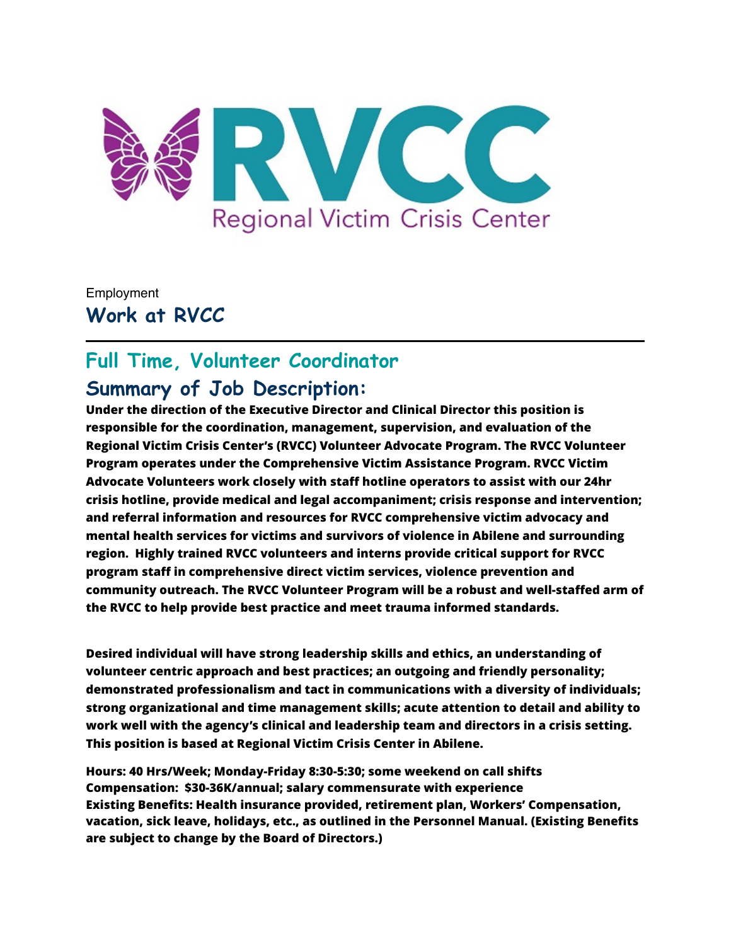

Employment **Work at RVCC**

# **Full Time, Volunteer Coordinator Summary of Job Description:**

**Under the direction of the Executive Director and Clinical Director this position is responsible for the coordination, management, supervision, and evaluation of the Regional Victim Crisis Center's (RVCC) Volunteer Advocate Program. The RVCC Volunteer Program operates under the Comprehensive Victim Assistance Program. RVCC Victim Advocate Volunteers work closely with staff hotline operators to assist with our 24hr crisis hotline, provide medical and legal accompaniment; crisis response and intervention; and referral information and resources for RVCC comprehensive victim advocacy and mental health services for victims and survivors of violence in Abilene and surrounding region. Highly trained RVCC volunteers and interns provide critical support for RVCC program staff in comprehensive direct victim services, violence prevention and community outreach. The RVCC Volunteer Program will be a robust and well-staffed arm of the RVCC to help provide best practice and meet trauma informed standards.**

**Desired individual will have strong leadership skills and ethics, an understanding of volunteer centric approach and best practices; an outgoing and friendly personality; demonstrated professionalism and tact in communications with a diversity of individuals; strong organizational and time management skills; acute attention to detail and ability to work well with the agency's clinical and leadership team and directors in a crisis setting. This position is based at Regional Victim Crisis Center in Abilene.**

**Hours: 40 Hrs/Week; Monday-Friday 8:30-5:30; some weekend on call shifts Compensation: \$30-36K/annual; salary commensurate with experience Existing Benefits: Health insurance provided, retirement plan, Workers' Compensation, vacation, sick leave, holidays, etc., as outlined in the Personnel Manual. (Existing Benefits are subject to change by the Board of Directors.)**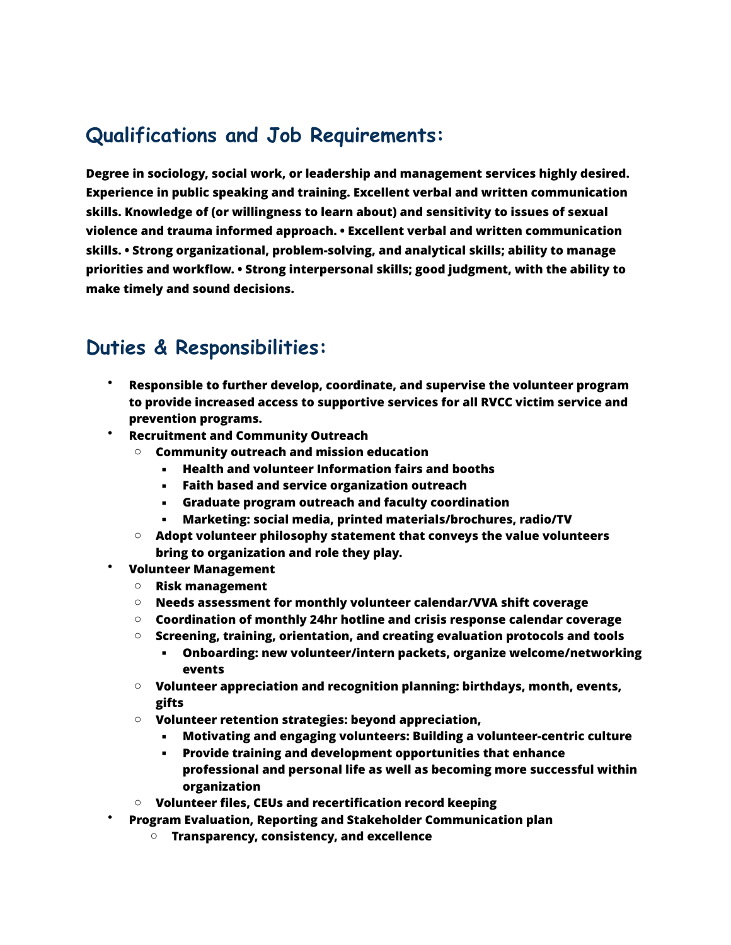# **Qualifications and Job Requirements:**

**Degree in sociology, social work, or leadership and management services highly desired. Experience in public speaking and training. Excellent verbal and written communication skills. Knowledge of (or willingness to learn about) and sensitivity to issues of sexual violence and trauma informed approach. • Excellent verbal and written communication skills. • Strong organizational, problem-solving, and analytical skills; ability to manage priorities and workflow. • Strong interpersonal skills; good judgment, with the ability to make timely and sound decisions.**

## **Duties & Responsibilities:**

- **Responsible to further develop, coordinate, and supervise the volunteer program to provide increased access to supportive services for all RVCC victim service and prevention programs.**
- **Recruitment and Community Outreach**
	- o **Community outreach and mission education** 
		- **Health and volunteer Information fairs and booths**
		- **Faith based and service organization outreach**
		- **Graduate program outreach and faculty coordination**
		- **Marketing: social media, printed materials/brochures, radio/TV**
	- o **Adopt volunteer philosophy statement that conveys the value volunteers bring to organization and role they play.**
- **Volunteer Management**
	- o **Risk management**
	- o **Needs assessment for monthly volunteer calendar/VVA shift coverage**
	- o **Coordination of monthly 24hr hotline and crisis response calendar coverage**
	- o **Screening, training, orientation, and creating evaluation protocols and tools**
		- **Onboarding: new volunteer/intern packets, organize welcome/networking events**
	- o **Volunteer appreciation and recognition planning: birthdays, month, events, gifts**
	- o **Volunteer retention strategies: beyond appreciation,** 
		- **Motivating and engaging volunteers: Building a volunteer-centric culture**
		- **Provide training and development opportunities that enhance professional and personal life as well as becoming more successful within organization**
	- o **Volunteer files, CEUs and recertification record keeping**
- **Program Evaluation, Reporting and Stakeholder Communication plan**
	- o **Transparency, consistency, and excellence**